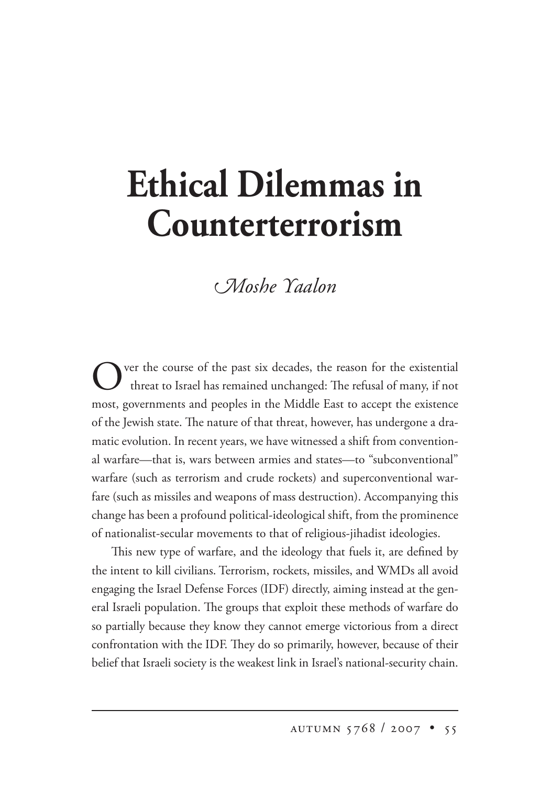## **Ethical Dilemmas in Counterterrorism**

## *<i>CMoshe Yaalon*

Ver the course of the past six decades, the reason for the existential threat to Israel has remained unchanged: The refusal of many, if not most, governments and peoples in the Middle East to accept the existence of the Jewish state. The nature of that threat, however, has undergone a dramatic evolution. In recent years, we have witnessed a shift from conventional warfare—that is, wars between armies and states—to "subconventional" warfare (such as terrorism and crude rockets) and superconventional warfare (such as missiles and weapons of mass destruction). Accompanying this change has been a profound political-ideological shift, from the prominence of nationalist-secular movements to that of religious-jihadist ideologies.

This new type of warfare, and the ideology that fuels it, are defined by the intent to kill civilians. Terrorism, rockets, missiles, and WMDs all avoid engaging the Israel Defense Forces (IDF) directly, aiming instead at the general Israeli population. The groups that exploit these methods of warfare do so partially because they know they cannot emerge victorious from a direct confrontation with the IDF. They do so primarily, however, because of their belief that Israeli society is the weakest link in Israel's national-security chain.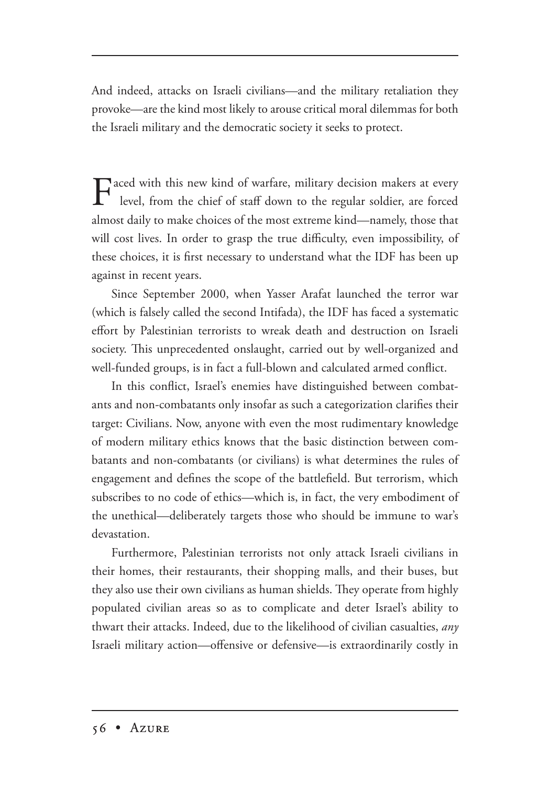And indeed, attacks on Israeli civilians—and the military retaliation they provoke—are the kind most likely to arouse critical moral dilemmas for both the Israeli military and the democratic society it seeks to protect.

 $\Gamma$  aced with this new kind of warfare, military decision makers at every level, from the chi-f f c c c c i level, from the chief of staff down to the regular soldier, are forced almost daily to make choices of the most extreme kind—namely, those that will cost lives. In order to grasp the true difficulty, even impossibility, of these choices, it is first necessary to understand what the IDF has been up against in recent years.

Since September 2000, when Yasser Arafat launched the terror war (which is falsely called the second Intifada), the IDF has faced a systematic effort by Palestinian terrorists to wreak death and destruction on Israeli society. This unprecedented onslaught, carried out by well-organized and well-funded groups, is in fact a full-blown and calculated armed conflict.

In this conflict, Israel's enemies have distinguished between combatants and non-combatants only insofar as such a categorization clarifies their target: Civilians. Now, anyone with even the most rudimentary knowledge of modern military ethics knows that the basic distinction between combatants and non-combatants (or civilians) is what determines the rules of engagement and defines the scope of the battlefield. But terrorism, which subscribes to no code of ethics—which is, in fact, the very embodiment of the unethical—deliberately targets those who should be immune to war's devastation.

Furthermore, Palestinian terrorists not only attack Israeli civilians in their homes, their restaurants, their shopping malls, and their buses, but they also use their own civilians as human shields. They operate from highly populated civilian areas so as to complicate and deter Israel's ability to thwart their attacks. Indeed, due to the likelihood of civilian casualties, *any*  Israeli military action—offensive or defensive—is extraordinarily costly in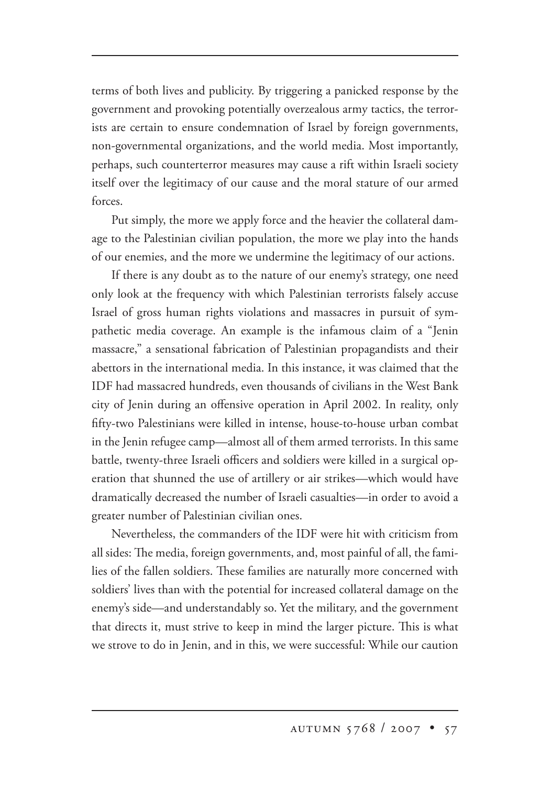terms of both lives and publicity. By triggering a panicked response by the government and provoking potentially overzealous army tactics, the terrorists are certain to ensure condemnation of Israel by foreign governments, non-governmental organizations, and the world media. Most importantly, perhaps, such counterterror measures may cause a rift within Israeli society itself over the legitimacy of our cause and the moral stature of our armed forces.

Put simply, the more we apply force and the heavier the collateral damage to the Palestinian civilian population, the more we play into the hands of our enemies, and the more we undermine the legitimacy of our actions.

If there is any doubt as to the nature of our enemy's strategy, one need only look at the frequency with which Palestinian terrorists falsely accuse Israel of gross human rights violations and massacres in pursuit of sympathetic media coverage. An example is the infamous claim of a "Jenin massacre," a sensational fabrication of Palestinian propagandists and their abettors in the international media. In this instance, it was claimed that the IDF had massacred hundreds, even thousands of civilians in the West Bank city of Jenin during an offensive operation in April 2002. In reality, only fifty-two Palestinians were killed in intense, house-to-house urban combat in the Jenin refugee camp—almost all of them armed terrorists. In this same battle, twenty-three Israeli officers and soldiers were killed in a surgical operation that shunned the use of artillery or air strikes—which would have dramatically decreased the number of Israeli casualties—in order to avoid a greater number of Palestinian civilian ones.

Nevertheless, the commanders of the IDF were hit with criticism from all sides: The media, foreign governments, and, most painful of all, the families of the fallen soldiers. These families are naturally more concerned with soldiers' lives than with the potential for increased collateral damage on the enemy's side—and understandably so. Yet the military, and the government that directs it, must strive to keep in mind the larger picture. This is what we strove to do in Jenin, and in this, we were successful: While our caution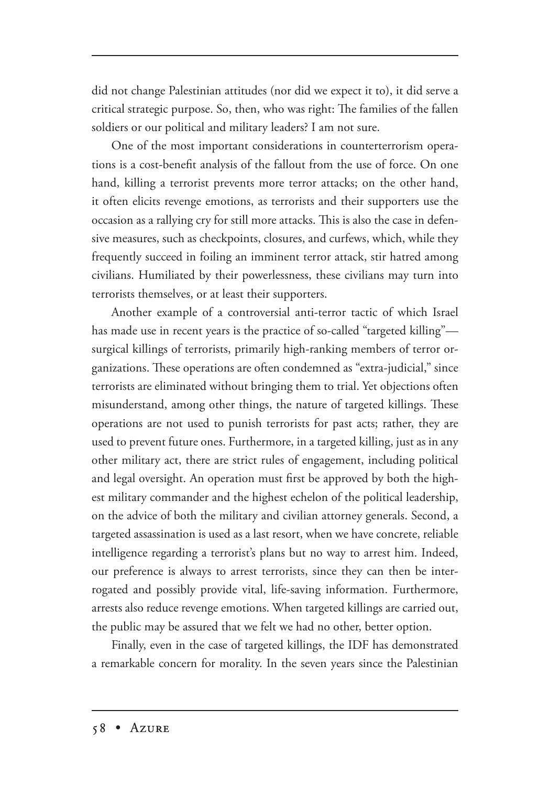did not change Palestinian attitudes (nor did we expect it to), it did serve a critical strategic purpose. So, then, who was right: The families of the fallen soldiers or our political and military leaders? I am not sure.

One of the most important considerations in counterterrorism operations is a cost-benefit analysis of the fallout from the use of force. On one hand, killing a terrorist prevents more terror attacks; on the other hand, it often elicits revenge emotions, as terrorists and their supporters use the occasion as a rallying cry for still more attacks. This is also the case in defensive measures, such as checkpoints, closures, and curfews, which, while they frequently succeed in foiling an imminent terror attack, stir hatred among civilians. Humiliated by their powerlessness, these civilians may turn into terrorists themselves, or at least their supporters.

Another example of a controversial anti-terror tactic of which Israel has made use in recent years is the practice of so-called "targeted killing" surgical killings of terrorists, primarily high-ranking members of terror organizations. These operations are often condemned as "extra-judicial," since terrorists are eliminated without bringing them to trial. Yet objections often misunderstand, among other things, the nature of targeted killings. These operations are not used to punish terrorists for past acts; rather, they are used to prevent future ones. Furthermore, in a targeted killing, just as in any other military act, there are strict rules of engagement, including political and legal oversight. An operation must first be approved by both the highest military commander and the highest echelon of the political leadership, on the advice of both the military and civilian attorney generals. Second, a targeted assassination is used as a last resort, when we have concrete, reliable intelligence regarding a terrorist's plans but no way to arrest him. Indeed, our preference is always to arrest terrorists, since they can then be interrogated and possibly provide vital, life-saving information. Furthermore, arrests also reduce revenge emotions. When targeted killings are carried out, the public may be assured that we felt we had no other, better option.

Finally, even in the case of targeted killings, the IDF has demonstrated a remarkable concern for morality. In the seven years since the Palestinian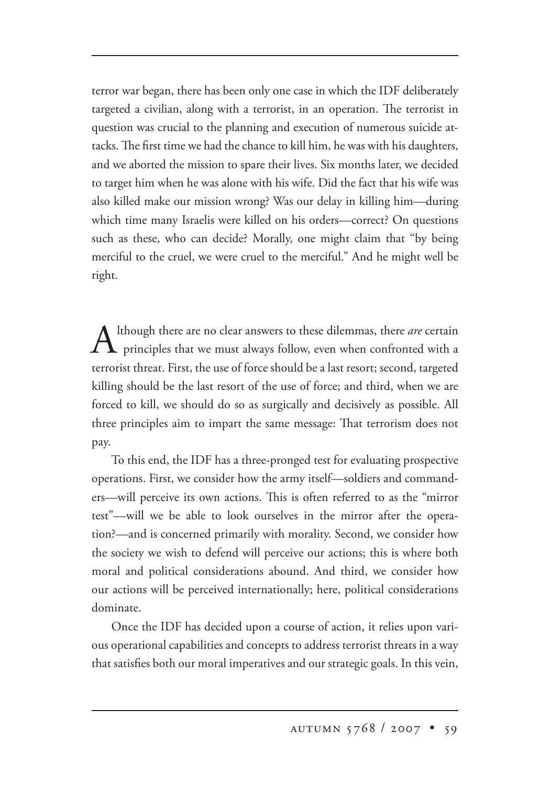terror war began, there has been only one case in which the IDF deliberately targeted a civilian, along with a terrorist, in an operation. The terrorist in question was crucial to the planning and execution of numerous suicide attacks. The first time we had the chance to kill him, he was with his daughters, and we aborted the mission to spare their lives. Six months later, we decided to target him when he was alone with his wife. Did the fact that his wife was also killed make our mission wrong? Was our delay in killing him—during which time many Israelis were killed on his orders—correct? On questions such as these, who can decide? Morally, one might claim that "by being merciful to the cruel, we were cruel to the merciful." And he might well be right.

Although there are no clear answers to these dilemmas, there *are* certain  $\perp$  **L** principles that we must always follow, even when confronted with a terrorist threat. First, the use of force should be a last resort; second, targeted killing should be the last resort of the use of force; and third, when we are forced to kill, we should do so as surgically and decisively as possible. All three principles aim to impart the same message: That terrorism does not pay.

To this end, the IDF has a three-pronged test for evaluating prospective operations. First, we consider how the army itself—soldiers and commanders—will perceive its own actions. This is often referred to as the "mirror test"—will we be able to look ourselves in the mirror after the operation?—and is concerned primarily with morality. Second, we consider how the society we wish to defend will perceive our actions; this is where both moral and political considerations abound. And third, we consider how our actions will be perceived internationally; here, political considerations dominate.

Once the IDF has decided upon a course of action, it relies upon various operational capabilities and concepts to address terrorist threats in a way that satisfies both our moral imperatives and our strategic goals. In this vein,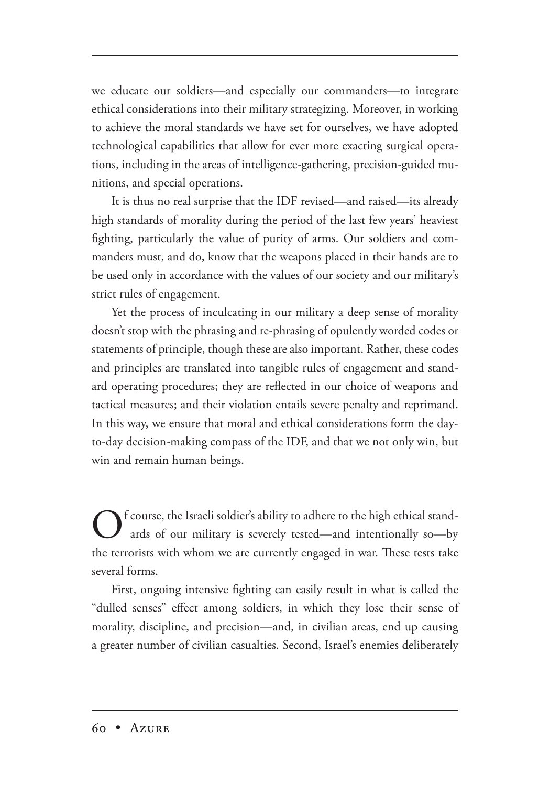we educate our soldiers—and especially our commanders—to integrate ethical considerations into their military strategizing. Moreover, in working to achieve the moral standards we have set for ourselves, we have adopted technological capabilities that allow for ever more exacting surgical operations, including in the areas of intelligence-gathering, precision-guided munitions, and special operations.

It is thus no real surprise that the IDF revised—and raised—its already high standards of morality during the period of the last few years' heaviest fighting, particularly the value of purity of arms. Our soldiers and commanders must, and do, know that the weapons placed in their hands are to be used only in accordance with the values of our society and our military's strict rules of engagement.

Yet the process of inculcating in our military a deep sense of morality doesn't stop with the phrasing and re-phrasing of opulently worded codes or statements of principle, though these are also important. Rather, these codes and principles are translated into tangible rules of engagement and standard operating procedures; they are reflected in our choice of weapons and tactical measures; and their violation entails severe penalty and reprimand. In this way, we ensure that moral and ethical considerations form the dayto-day decision-making compass of the IDF, and that we not only win, but win and remain human beings.

Of course, the Israeli soldier's ability to adhere to the high ethical stand-<br>ards of our military is severely tested—and intentionally so—by the terrorists with whom we are currently engaged in war. These tests take several forms.

First, ongoing intensive fighting can easily result in what is called the "dulled senses" effect among soldiers, in which they lose their sense of morality, discipline, and precision—and, in civilian areas, end up causing a greater number of civilian casualties. Second, Israel's enemies deliberately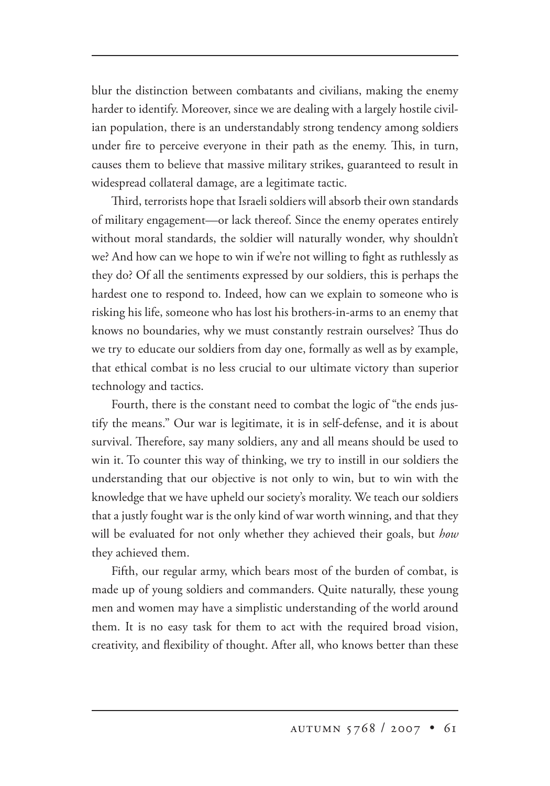blur the distinction between combatants and civilians, making the enemy harder to identify. Moreover, since we are dealing with a largely hostile civilian population, there is an understandably strong tendency among soldiers under fire to perceive everyone in their path as the enemy. This, in turn, causes them to believe that massive military strikes, guaranteed to result in widespread collateral damage, are a legitimate tactic.

Third, terrorists hope that Israeli soldiers will absorb their own standards of military engagement—or lack thereof. Since the enemy operates entirely without moral standards, the soldier will naturally wonder, why shouldn't we? And how can we hope to win if we're not willing to fight as ruthlessly as they do? Of all the sentiments expressed by our soldiers, this is perhaps the hardest one to respond to. Indeed, how can we explain to someone who is risking his life, someone who has lost his brothers-in-arms to an enemy that knows no boundaries, why we must constantly restrain ourselves? Thus do we try to educate our soldiers from day one, formally as well as by example, that ethical combat is no less crucial to our ultimate victory than superior technology and tactics.

Fourth, there is the constant need to combat the logic of "the ends justify the means." Our war is legitimate, it is in self-defense, and it is about survival. Therefore, say many soldiers, any and all means should be used to win it. To counter this way of thinking, we try to instill in our soldiers the understanding that our objective is not only to win, but to win with the knowledge that we have upheld our society's morality. We teach our soldiers that a justly fought war is the only kind of war worth winning, and that they will be evaluated for not only whether they achieved their goals, but *how*  they achieved them.

Fifth, our regular army, which bears most of the burden of combat, is made up of young soldiers and commanders. Quite naturally, these young men and women may have a simplistic understanding of the world around them. It is no easy task for them to act with the required broad vision, creativity, and flexibility of thought. After all, who knows better than these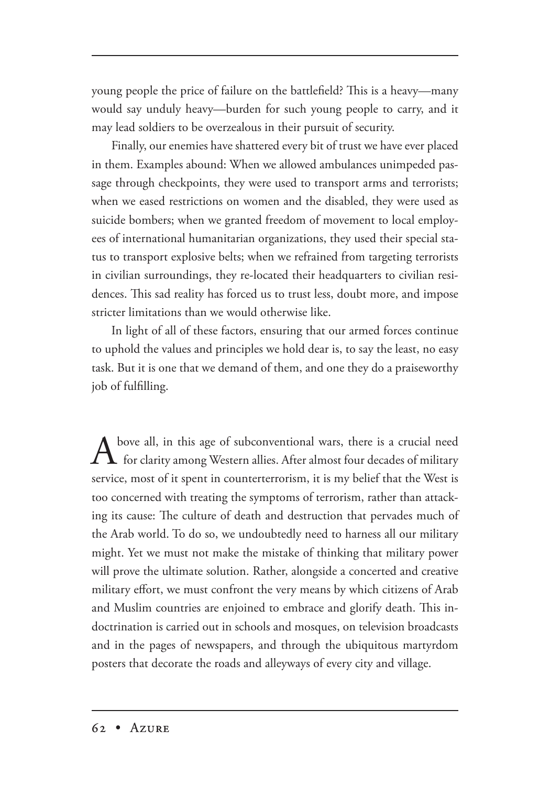young people the price of failure on the battlefield? This is a heavy—many would say unduly heavy—burden for such young people to carry, and it may lead soldiers to be overzealous in their pursuit of security.

Finally, our enemies have shattered every bit of trust we have ever placed in them. Examples abound: When we allowed ambulances unimpeded passage through checkpoints, they were used to transport arms and terrorists; when we eased restrictions on women and the disabled, they were used as suicide bombers; when we granted freedom of movement to local employees of international humanitarian organizations, they used their special status to transport explosive belts; when we refrained from targeting terrorists in civilian surroundings, they re-located their headquarters to civilian residences. This sad reality has forced us to trust less, doubt more, and impose stricter limitations than we would otherwise like.

In light of all of these factors, ensuring that our armed forces continue to uphold the values and principles we hold dear is, to say the least, no easy task. But it is one that we demand of them, and one they do a praiseworthy job of fulfilling.

bove all, in this age of subconventional wars, there is a crucial need  $\mathsf L$  for clarity among Western allies. After almost four decades of military service, most of it spent in counterterrorism, it is my belief that the West is too concerned with treating the symptoms of terrorism, rather than attacking its cause: The culture of death and destruction that pervades much of the Arab world. To do so, we undoubtedly need to harness all our military might. Yet we must not make the mistake of thinking that military power will prove the ultimate solution. Rather, alongside a concerted and creative military effort, we must confront the very means by which citizens of Arab and Muslim countries are enjoined to embrace and glorify death. This indoctrination is carried out in schools and mosques, on television broadcasts and in the pages of newspapers, and through the ubiquitous martyrdom posters that decorate the roads and alleyways of every city and village.